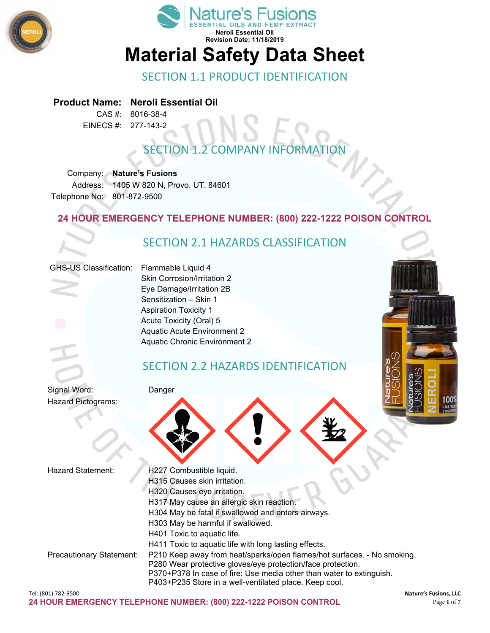



#### SECTION 1.1 PRODUCT IDENTIFICATION

**Product Name: Neroli Essential Oil**

CAS #: 8016-38-4 EINECS #: 277-143-2

# SECTION 1.2 COMPANY INFORMATION

Company: **Nature's Fusions** Address: 1405 W 820 N, Provo, UT, 84601 Telephone No: 801-872-9500

#### **24 HOUR EMERGENCY TELEPHONE NUMBER: (800) 222-1222 POISON CONTROL**

# SECTION 2.1 HAZARDS CLASSIFICATION

#### GHS-US Classification: Flammable Liquid 4

Skin Corrosion/Irritation 2 Eye Damage/Irritation 2B Sensitization – Skin 1 Aspiration Toxicity 1 Acute Toxicity (Oral) 5 Aquatic Acute Environment 2 Aquatic Chronic Environment 2

## SECTION 2.2 HAZARDS IDENTIFICATION

Signal Word: Danger Hazard Pictograms:

Hazard Statement: H227 Combustible liquid. H315 Causes skin irritation. H320 Causes eye irritation. H317 May cause an allergic skin reaction. H304 May be fatal if swallowed and enters airways. H303 May be harmful if swallowed. H401 Toxic to aquatic life. H411 Toxic to aquatic life with long lasting effects. Precautionary Statement: P210 Keep away from heat/sparks/open flames/hot surfaces. - No smoking. P280 Wear protective gloves/eye protection/face protection. P370+P378 In case of fire: Use media other than water to extinguish. P403+P235 Store in a well-ventilated place. Keep cool.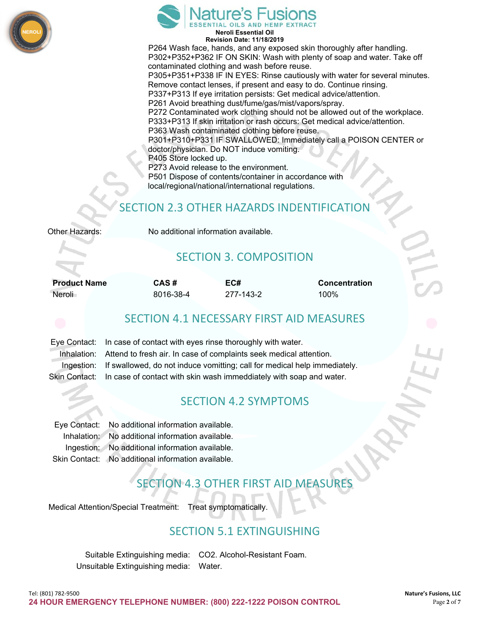



**Neroli Essential Oil Revision Date: 11/18/2019**

P264 Wash face, hands, and any exposed skin thoroughly after handling. P302+P352+P362 IF ON SKIN: Wash with plenty of soap and water. Take off contaminated clothing and wash before reuse. P305+P351+P338 IF IN EYES: Rinse cautiously with water for several minutes. Remove contact lenses, if present and easy to do. Continue rinsing. P337+P313 If eye irritation persists: Get medical advice/attention. P261 Avoid breathing dust/fume/gas/mist/vapors/spray. P272 Contaminated work clothing should not be allowed out of the workplace. P333+P313 If skin irritation or rash occurs: Get medical advice/attention. P363 Wash contaminated clothing before reuse. P301+P310+P331 IF SWALLOWED: Immediately call a POISON CENTER or doctor/physician. Do NOT induce vomiting. P405 Store locked up. P273 Avoid release to the environment. P501 Dispose of contents/container in accordance with local/regional/national/international regulations.

## SECTION 2.3 OTHER HAZARDS INDENTIFICAT

Other Hazards: No additional information available.

## SECTION 3. COMPOSITION

| <b>Product Name</b> | CAS#      | EC#       | <b>Concentration</b> |
|---------------------|-----------|-----------|----------------------|
| Neroli              | 8016-38-4 | 277-143-2 | 100%                 |

#### SECTION 4.1 NECESSARY FIRST AID MEASURES

Eye Contact: In case of contact with eyes rinse thoroughly with water. Inhalation: Attend to fresh air. In case of complaints seek medical attention. Ingestion: If swallowed, do not induce vomitting; call for medical help immediately. Skin Contact: In case of contact with skin wash immeddiately with soap and water.

#### SECTION 4.2 SYMPTOMS

| Eve Contact: | No additional information available.               |
|--------------|----------------------------------------------------|
| Inhalation:  | No additional information available.               |
|              | Ingestion: No additional information available.    |
|              | Skin Contact: No additional information available. |

# SECTION 4.3 OTHER FIRST AID MEASURES

Medical Attention/Special Treatment: Treat symptomatically.

#### SECTION 5.1 EXTINGUISHING

Suitable Extinguishing media: CO2. Alcohol-Resistant Foam. Unsuitable Extinguishing media: Water.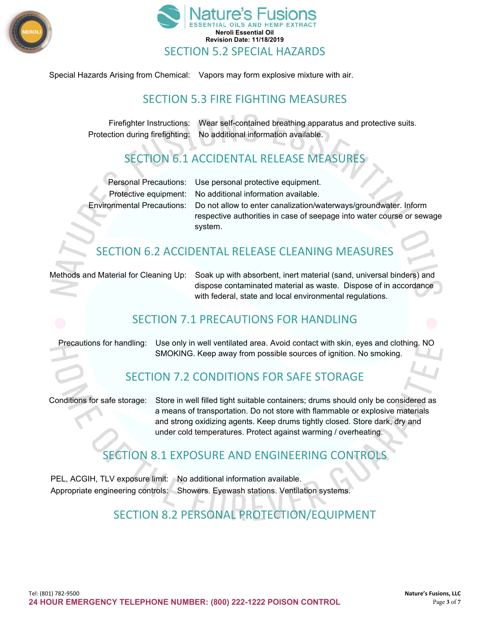



Special Hazards Arising from Chemical: Vapors may form explosive mixture with air.

#### SECTION 5.3 FIRE FIGHTING MEASURES

Firefighter Instructions: Wear self-contained breathing apparatus and protective suits. Protection during firefighting: No additional information available.

# SECTION 6.1 ACCIDENTAL RELEASE MEASURES

| Personal Precautions: Us             |  |
|--------------------------------------|--|
| Protective equipment: No             |  |
| <b>Environmental Precautions:</b> Do |  |

e personal protective equipment. protectional information available. not allow to enter canalization/waterways/groundwater. Inform respective authorities in case of seepage into water course or sewage system.

# SECTION 6.2 ACCIDENTAL RELEASE CLEANING MEASURES

Methods and Material for Cleaning Up: Soak up with absorbent, inert material (sand, universal binders) and dispose contaminated material as waste. Dispose of in accordance with federal, state and local environmental regulations.

#### SECTION 7.1 PRECAUTIONS FOR HANDLING

Precautions for handling: Use only in well ventilated area. Avoid contact with skin, eyes and clothing. NO SMOKING. Keep away from possible sources of ignition. No smoking.

## SECTION 7.2 CONDITIONS FOR SAFE STORAGE

Conditions for safe storage: Store in well filled tight suitable containers; drums should only be considered as a means of transportation. Do not store with flammable or explosive materials and strong oxidizing agents. Keep drums tightly closed. Store dark, dry and under cold temperatures. Protect against warming / overheating.

## SECTION 8.1 EXPOSURE AND ENGINEERING CONTROLS

PEL, ACGIH, TLV exposure limit: No additional information available. Appropriate engineering controls: Showers. Eyewash stations. Ventilation systems.

# SECTION 8.2 PERSONAL PROTECTION/EQUIPMENT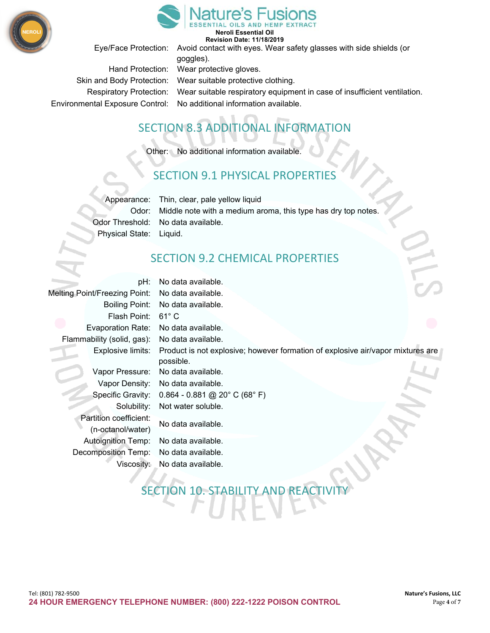



**Neroli Essential Oil** 

Environmental Exposure Control: No additional information available.

**Revision Date: 11/18/2019** Eye/Face Protection: Avoid contact with eyes. Wear safety glasses with side shields (or goggles). Hand Protection: Wear protective gloves. Skin and Body Protection: Wear suitable protective clothing. Respiratory Protection: Wear suitable respiratory equipment in case of insufficient ventilation.

# SECTION 8.3 ADDITIONAL INFORMATION

Other: No additional information available.

## SECTION 9.1 PHYSICAL PROPERTIES

Physical State: Liquid.

Appearance: Thin, clear, pale yellow liquid Odor: Middle note with a medium aroma, this type has dry top notes. Odor Threshold: No data available.

## SECTION 9.2 CHEMICAL PROPERTIES

| pH:                                         | No data available.                                                                           |
|---------------------------------------------|----------------------------------------------------------------------------------------------|
| <b>Melting Point/Freezing Point:</b>        | No data available.                                                                           |
| Boiling Point:                              | No data available.                                                                           |
| Flash Point:                                | $61^\circ$ C                                                                                 |
| Evaporation Rate:                           | No data available.                                                                           |
| Flammability (solid, gas):                  | No data available.                                                                           |
| Explosive limits:                           | Product is not explosive; however formation of explosive air/vapor mixtures are<br>possible. |
| Vapor Pressure:                             | No data available.                                                                           |
| Vapor Density:                              | No data available.                                                                           |
| Specific Gravity:                           | $0.864 - 0.881$ @ 20° C (68° F)                                                              |
| Solubility:                                 | Not water soluble.                                                                           |
| Partition coefficient:<br>(n-octanol/water) | No data available.                                                                           |
| <b>Autoignition Temp:</b>                   | No data available.                                                                           |
| Decomposition Temp:                         | No data available.                                                                           |
| Viscosity: <sub>-</sub>                     | No data available.                                                                           |
|                                             |                                                                                              |

SECTION 10. STABILITY AND REACTIVITY

Tel: (801) 782‐9500 **Nature's Fusions, LLC 24 HOUR EMERGENCY TELEPHONE NUMBER: (800) 222-1222 POISON CONTROL** Page **4** of **7**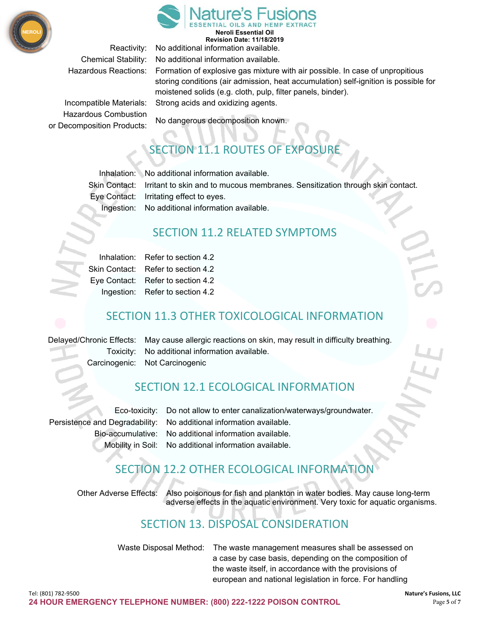

**Neroli Essential Oil Revision Date: 11/18/2019**

Reactivity: No additional information available. Chemical Stability: No additional information available.

Incompatible Materials: Strong acids and oxidizing agents. Hazardous Combustion No dangerous decomposition known. or Decomposition Products:

Hazardous Reactions: Formation of explosive gas mixture with air possible. In case of unpropitious storing conditions (air admission, heat accumulation) self-ignition is possible for moistened solids (e.g. cloth, pulp, filter panels, binder).

# SECTION 11.1 ROUTES OF EXPOSURE

Inhalation: No additional information available. Skin Contact: Irritant to skin and to mucous membranes. Sensitization through skin contact. Eye Contact: Irritating effect to eyes. Ingestion: No additional information available.

#### SECTION 11.2 RELATED SYMPTOMS

| Inhalation: Refer to section 4.2   |
|------------------------------------|
| Skin Contact: Refer to section 4.2 |
| Eye Contact: Refer to section 4.2  |
| Ingestion: Refer to section 4.2    |

# SECTION 11.3 OTHER TOXICOLOGICAL INFORMATION

Delayed/Chronic Effects: May cause allergic reactions on skin, may result in difficulty breathing. Toxicity: No additional information available. Carcinogenic: Not Carcinogenic

## SECTION 12.1 ECOLOGICAL INFORMATION

Eco-toxicity: Do not allow to enter canalization/waterways/groundwater. Persistence and Degradability: No additional information available. Bio-accumulative: No additional information available. Mobility in Soil: No additional information available.

# SECTION 12.2 OTHER ECOLOGICAL INFORMATION

Other Adverse Effects: Also poisonous for fish and plankton in water bodies. May cause long-term adverse effects in the aquatic environment. Very toxic for aquatic organisms.

# SECTION 13. DISPOSAL CONSIDERATION

Waste Disposal Method: The waste management measures shall be assessed on a case by case basis, depending on the composition of the waste itself, in accordance with the provisions of european and national legislation in force. For handling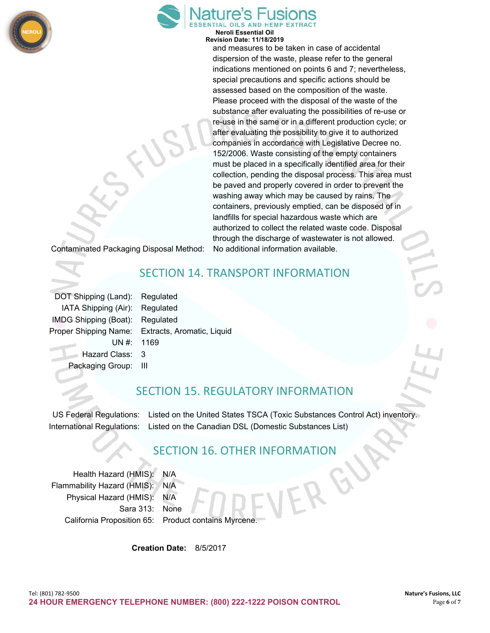



**Neroli Essential Oil Revision Date: 11/18/2019**

and measures to be taken in case of accidental dispersion of the waste, please refer to the general indications mentioned on points 6 and 7; nevertheless, special precautions and specific actions should be assessed based on the composition of the waste. Please proceed with the disposal of the waste of the substance after evaluating the possibilities of re-use or re-use in the same or in a different production cycle; or after evaluating the possibility to give it to authorized companies in accordance with Legislative Decree no. 152/2006. Waste consisting of the empty containers must be placed in a specifically identified area for their collection, pending the disposal process. This area must be paved and properly covered in order to prevent the washing away which may be caused by rains. The containers, previously emptied, can be disposed of in landfills for special hazardous waste which are authorized to collect the related waste code. Disposal through the discharge of wastewater is not allowed.

Contaminated Packaging Disposal Method: No additional information available.

#### SECTION 14. TRANSPORT INFORMATION

| DOT Shipping (Land):  | Regul        |
|-----------------------|--------------|
| IATA Shipping (Air):  | Regul        |
| IMDG Shipping (Boat): | Regul        |
| Proper Shipping Name: | <b>Extra</b> |
| UN #:                 | 1169         |
| Hazard Class:         | 3            |
| Packaging Group:      | Ш            |
|                       |              |

ulated ulated ulated acts, Aromatic, Liquid

#### SECTION 15. REGULATORY INFORMATION

US Federal Regulations: Listed on the United States TSCA (Toxic Substances Control Act) inventory. International Regulations: Listed on the Canadian DSL (Domestic Substances List)

#### SECTION 16. OTHER INFORMATION

Health Hazard (HMIS): N/A Flammability Hazard (HMIS): N/A Physical Hazard (HMIS): N/A Sara 313: None California Proposition 65: Product contains Myrcene.

**Creation Date:** 8/5/2017